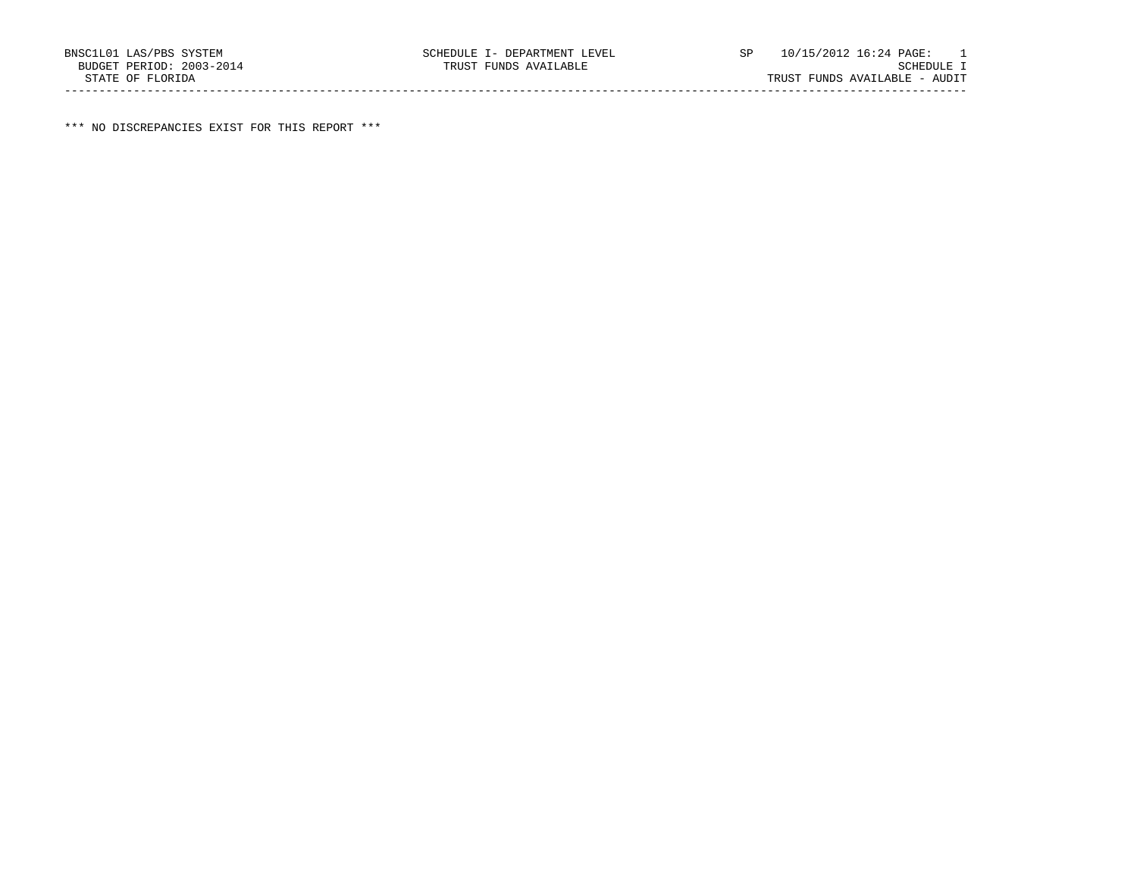\*\*\* NO DISCREPANCIES EXIST FOR THIS REPORT \*\*\*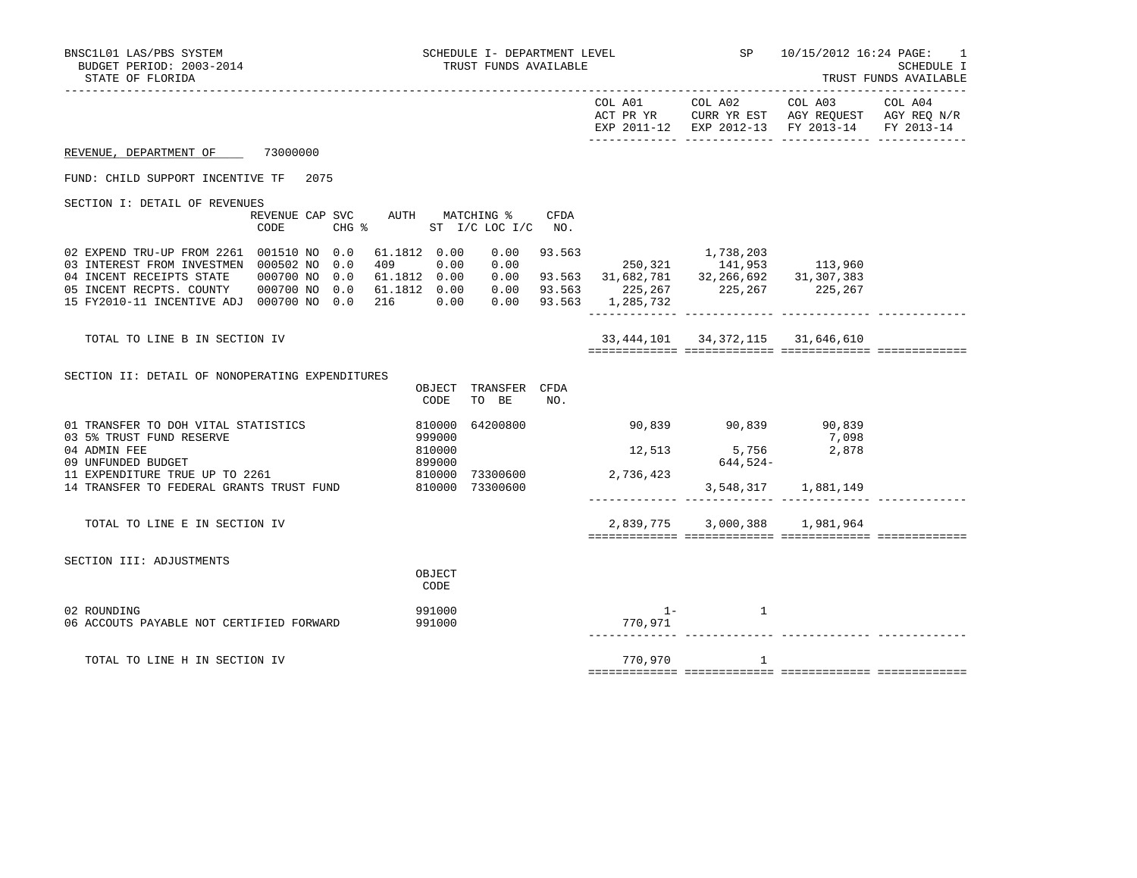| BNSC1L01 LAS/PBS SYSTEM<br>BUDGET PERIOD: 2003-2014<br>STATE OF FLORIDA                                                                                                                                                                                                                          | SCHEDULE I- DEPARTMENT LEVEL<br>TRUST FUNDS AVAILABLE                                                                                                                                                                                               |                                   |                                        |                                                                                                                                       | SP 10/15/2012 16:24 PAGE:<br>1<br>SCHEDULE I<br>TRUST FUNDS AVAILABLE |
|--------------------------------------------------------------------------------------------------------------------------------------------------------------------------------------------------------------------------------------------------------------------------------------------------|-----------------------------------------------------------------------------------------------------------------------------------------------------------------------------------------------------------------------------------------------------|-----------------------------------|----------------------------------------|---------------------------------------------------------------------------------------------------------------------------------------|-----------------------------------------------------------------------|
|                                                                                                                                                                                                                                                                                                  |                                                                                                                                                                                                                                                     | COL A01                           |                                        | COL A02 COL A03<br>ACT PR YR $\,$ CURR YR EST $\,$ AGY REQUEST $\,$ AGY REQ N/R $\,$<br>EXP 2011-12 EXP 2012-13 FY 2013-14 FY 2013-14 | COL A04                                                               |
| REVENUE, DEPARTMENT OF 73000000                                                                                                                                                                                                                                                                  |                                                                                                                                                                                                                                                     |                                   |                                        |                                                                                                                                       |                                                                       |
| FUND: CHILD SUPPORT INCENTIVE TF 2075                                                                                                                                                                                                                                                            |                                                                                                                                                                                                                                                     |                                   |                                        |                                                                                                                                       |                                                                       |
| SECTION I: DETAIL OF REVENUES<br>REVENUE CAP SVC AUTH MATCHING %<br>CODE                                                                                                                                                                                                                         | CFDA<br>CHG % ST I/C LOC I/C NO.                                                                                                                                                                                                                    |                                   |                                        |                                                                                                                                       |                                                                       |
| 02 EXPEND TRU-UP FROM 2261 001510 NO 0.0 61.1812 0.00 0.00<br>03 INTEREST FROM INVESTMEN 000502 NO 0.0<br>04 INCENT RECEIPTS STATE 000700 NO 0.0<br>05 INCENT RECPTS. COUNTY 000700 NO 0.0 61.1812 0.00 0.00 93.563 225,267 225,267 225,267<br>15 FY2010-11 INCENTIVE ADJ 000700 NO 0.0 216 0.00 | $\begin{array}{cccccccc} 61.1812 & 0.00 & 0.00 & 93.563 & & & 1,738,203 \\ 409 & 0.00 & 0.00 & & & 250,321 & & 141,953 & & 113,960 \\ 61.1812 & 0.00 & 0.00 & 93.563 & 31,682,781 & 32,266,692 & 31,307,383 \end{array}$<br>$0.00$ 93.563 1,285,732 |                                   |                                        |                                                                                                                                       |                                                                       |
| TOTAL TO LINE B IN SECTION IV                                                                                                                                                                                                                                                                    |                                                                                                                                                                                                                                                     |                                   | 33, 444, 101 34, 372, 115 31, 646, 610 |                                                                                                                                       |                                                                       |
| SECTION II: DETAIL OF NONOPERATING EXPENDITURES                                                                                                                                                                                                                                                  | OBJECT TRANSFER CFDA<br>TO BE<br>CODE<br>NO.                                                                                                                                                                                                        |                                   |                                        |                                                                                                                                       |                                                                       |
| 01 TRANSFER TO DOH VITAL STATISTICS<br>03 5% TRUST FUND RESERVE<br>04 ADMIN FEE<br>09 UNFUNDED BUDGET<br>11 EXPENDITURE TRUE UP TO 2261<br>14 TRANSFER TO FEDERAL GRANTS TRUST FUND 810000 73300600                                                                                              | 64200800<br>810000<br>999000<br>810000<br>899000<br>810000 73300600 2,736,423                                                                                                                                                                       | 90,839 90,839 90,839              | 12,513 5,756 2,878<br>644,524-         | 7,098<br>3,548,317 1,881,149                                                                                                          |                                                                       |
| TOTAL TO LINE E IN SECTION IV                                                                                                                                                                                                                                                                    |                                                                                                                                                                                                                                                     |                                   | 2,839,775 3,000,388 1,981,964          |                                                                                                                                       |                                                                       |
| SECTION III: ADJUSTMENTS                                                                                                                                                                                                                                                                         | OBJECT<br>CODE                                                                                                                                                                                                                                      |                                   |                                        |                                                                                                                                       |                                                                       |
| 02 ROUNDING<br>06 ACCOUTS PAYABLE NOT CERTIFIED FORWARD                                                                                                                                                                                                                                          | 991000<br>991000                                                                                                                                                                                                                                    | $1 -$<br>770,971<br>------------- | <sup>1</sup>                           |                                                                                                                                       |                                                                       |

TOTAL TO LINE H IN SECTION IV 770,970 1

============= ============= ============= =============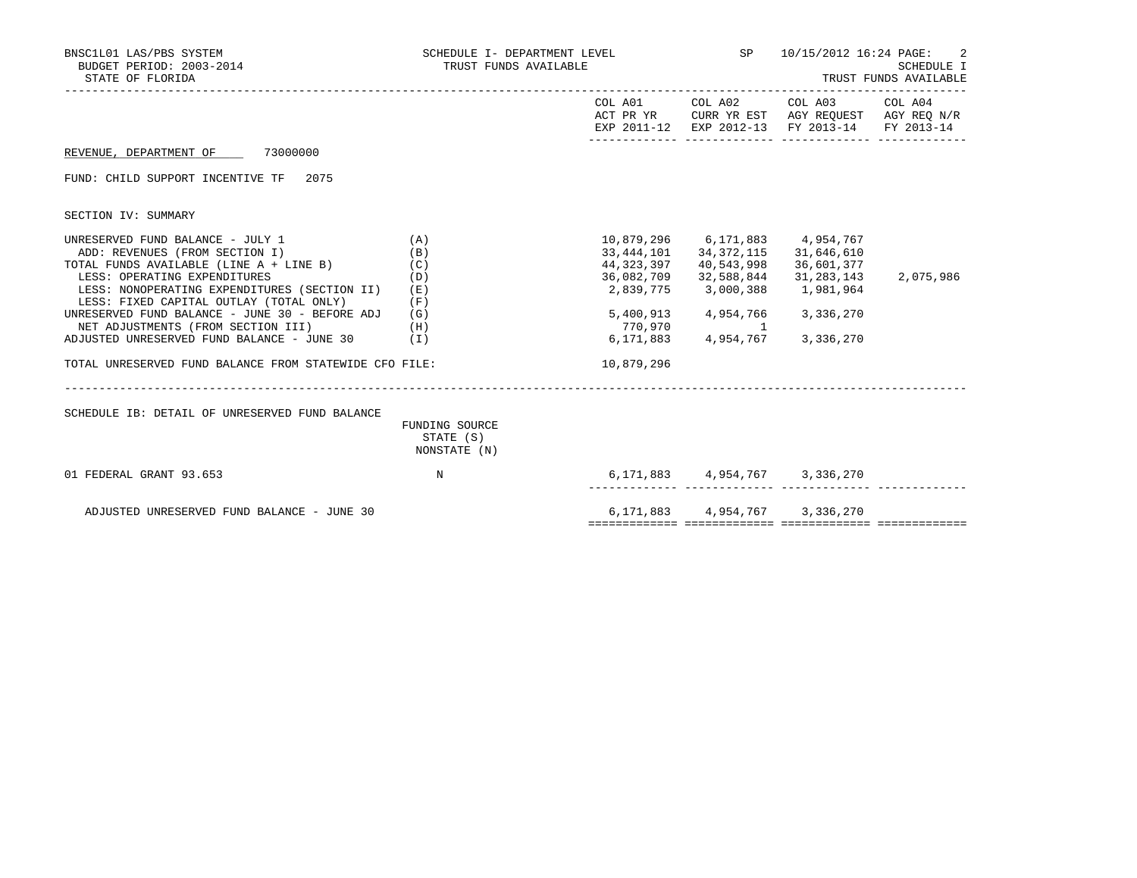| BNSC1L01 LAS/PBS SYSTEM<br>BUDGET PERIOD: 2003-2014<br>STATE OF FLORIDA                 | SCHEDULE I- DEPARTMENT LEVEL<br>TRUST FUNDS AVAILABLE |            | SP                                  | 10/15/2012 16:24 PAGE:                                                                                            | SCHEDULE I<br>TRUST FUNDS AVAILABLE |
|-----------------------------------------------------------------------------------------|-------------------------------------------------------|------------|-------------------------------------|-------------------------------------------------------------------------------------------------------------------|-------------------------------------|
|                                                                                         |                                                       |            | COL A01 COL A02                     | COL A03 COL A04<br>ACT PR YR CURR YR EST AGY REQUEST AGY REQ N/R<br>EXP 2011-12 EXP 2012-13 FY 2013-14 FY 2013-14 |                                     |
| REVENUE, DEPARTMENT OF 73000000                                                         |                                                       |            |                                     |                                                                                                                   |                                     |
| FUND: CHILD SUPPORT INCENTIVE TF 2075                                                   |                                                       |            |                                     |                                                                                                                   |                                     |
| SECTION IV: SUMMARY                                                                     |                                                       |            |                                     |                                                                                                                   |                                     |
| UNRESERVED FUND BALANCE - JULY 1                                                        | (A)                                                   |            | 10,879,296 6,171,883 4,954,767      |                                                                                                                   |                                     |
| ADD: REVENUES (FROM SECTION I)                                                          | (B)                                                   | 33,444,101 | 34,372,115                          | 31,646,610                                                                                                        |                                     |
| TOTAL FUNDS AVAILABLE (LINE A + LINE B)                                                 | (C)                                                   | 44,323,397 | 40,543,998                          | 36,601,377                                                                                                        |                                     |
| LESS: OPERATING EXPENDITURES                                                            | (D)                                                   | 36,082,709 | 32,588,844                          | 31,283,143                                                                                                        | 2,075,986                           |
| LESS: NONOPERATING EXPENDITURES (SECTION II)<br>LESS: FIXED CAPITAL OUTLAY (TOTAL ONLY) | (E)                                                   | 2,839,775  | 3,000,388                           | 1,981,964                                                                                                         |                                     |
| UNRESERVED FUND BALANCE - JUNE 30 - BEFORE ADJ                                          | (F)<br>(G)                                            |            | 5,400,913 4,954,766                 | 3,336,270                                                                                                         |                                     |
| NET ADJUSTMENTS (FROM SECTION III)                                                      | (H)                                                   | 770,970    | 1                                   |                                                                                                                   |                                     |
| ADJUSTED UNRESERVED FUND BALANCE - JUNE 30                                              | (I)                                                   |            | 6, 171, 883 4, 954, 767             | 3,336,270                                                                                                         |                                     |
| TOTAL UNRESERVED FUND BALANCE FROM STATEWIDE CFO FILE:                                  |                                                       | 10,879,296 |                                     |                                                                                                                   |                                     |
| SCHEDULE IB: DETAIL OF UNRESERVED FUND BALANCE                                          |                                                       |            |                                     |                                                                                                                   |                                     |
|                                                                                         | FUNDING SOURCE<br>STATE (S)<br>NONSTATE (N)           |            |                                     |                                                                                                                   |                                     |
| 01 FEDERAL GRANT 93.653                                                                 | N                                                     |            | 6, 171, 883 4, 954, 767 3, 336, 270 |                                                                                                                   |                                     |
| ADJUSTED UNRESERVED FUND BALANCE - JUNE 30                                              |                                                       |            | 6, 171, 883 4, 954, 767 3, 336, 270 |                                                                                                                   |                                     |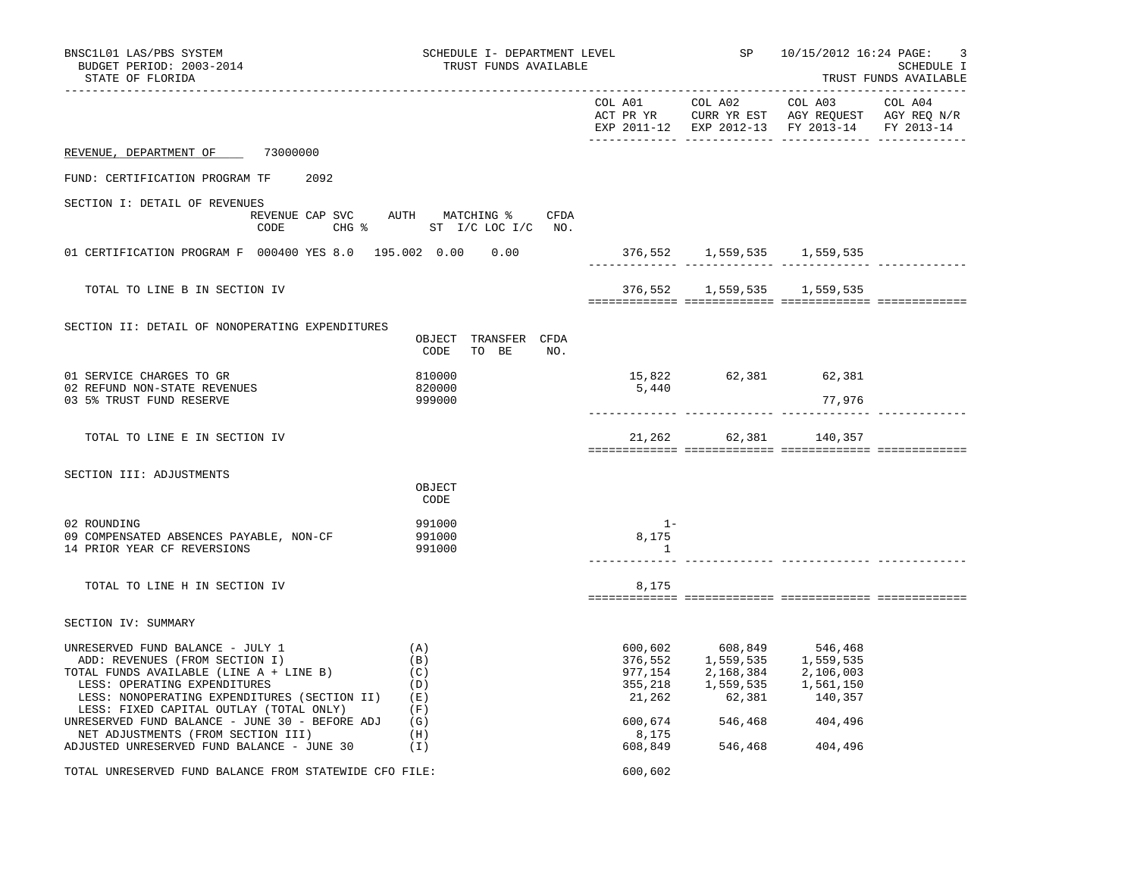| BNSC1L01 LAS/PBS SYSTEM<br>BUDGET PERIOD: 2003-2014<br>STATE OF FLORIDA                                                                                                                                                                      | SCHEDULE I- DEPARTMENT LEVEL<br>TRUST FUNDS AVAILABLE            |                                |                                                                                                                                                         | SP 10/15/2012 16:24 PAGE:                                                                                                         | 3<br>SCHEDULE I<br>TRUST FUNDS AVAILABLE |
|----------------------------------------------------------------------------------------------------------------------------------------------------------------------------------------------------------------------------------------------|------------------------------------------------------------------|--------------------------------|---------------------------------------------------------------------------------------------------------------------------------------------------------|-----------------------------------------------------------------------------------------------------------------------------------|------------------------------------------|
|                                                                                                                                                                                                                                              |                                                                  |                                |                                                                                                                                                         | COL A01 COL A02 COL A03 COL A04<br>ACT PR YR CURR YR EST AGY REQUEST AGY REQ N/R<br>EXP 2011-12 EXP 2012-13 FY 2013-14 FY 2013-14 |                                          |
| REVENUE, DEPARTMENT OF 73000000                                                                                                                                                                                                              |                                                                  |                                |                                                                                                                                                         |                                                                                                                                   |                                          |
| FUND: CERTIFICATION PROGRAM TF<br>2092                                                                                                                                                                                                       |                                                                  |                                |                                                                                                                                                         |                                                                                                                                   |                                          |
| SECTION I: DETAIL OF REVENUES<br>CODE                                                                                                                                                                                                        | REVENUE CAP SVC AUTH MATCHING % CFDA<br>CHG % ST I/C LOC I/C NO. |                                |                                                                                                                                                         |                                                                                                                                   |                                          |
| 01 CERTIFICATION PROGRAM F 000400 YES 8.0 195.002 0.00 0.00                                                                                                                                                                                  |                                                                  |                                | $376,552$ 1,559,535 1,559,535                                                                                                                           |                                                                                                                                   |                                          |
| TOTAL TO LINE B IN SECTION IV                                                                                                                                                                                                                |                                                                  |                                | 376,552 1,559,535 1,559,535                                                                                                                             |                                                                                                                                   |                                          |
| SECTION II: DETAIL OF NONOPERATING EXPENDITURES                                                                                                                                                                                              | OBJECT TRANSFER CFDA<br>CODE<br>TO BE NO.                        |                                |                                                                                                                                                         |                                                                                                                                   |                                          |
| 01 SERVICE CHARGES TO GR<br>02 REFUND NON-STATE REVENUES                                                                                                                                                                                     | 810000<br>820000                                                 | 5,440                          | 15,822 62,381 62,381                                                                                                                                    |                                                                                                                                   |                                          |
| 03 5% TRUST FUND RESERVE                                                                                                                                                                                                                     | 999000                                                           |                                |                                                                                                                                                         | 77,976                                                                                                                            |                                          |
| TOTAL TO LINE E IN SECTION IV                                                                                                                                                                                                                |                                                                  |                                | 21,262 62,381 140,357                                                                                                                                   |                                                                                                                                   |                                          |
| SECTION III: ADJUSTMENTS                                                                                                                                                                                                                     | OBJECT<br>CODE                                                   |                                |                                                                                                                                                         |                                                                                                                                   |                                          |
| 02 ROUNDING<br>09 COMPENSATED ABSENCES PAYABLE, NON-CF<br>14 PRIOR YEAR CF REVERSIONS                                                                                                                                                        | 991000<br>991000<br>991000                                       | $1 -$<br>8,175<br>$\mathbf{1}$ |                                                                                                                                                         |                                                                                                                                   |                                          |
| TOTAL TO LINE H IN SECTION IV                                                                                                                                                                                                                |                                                                  | 8,175                          |                                                                                                                                                         |                                                                                                                                   |                                          |
| SECTION IV: SUMMARY                                                                                                                                                                                                                          |                                                                  |                                |                                                                                                                                                         |                                                                                                                                   |                                          |
| UNRESERVED FUND BALANCE - JULY 1<br>ADD: REVENUES (FROM SECTION I)<br>TOTAL FUNDS AVAILABLE (LINE A + LINE B)<br>LESS: OPERATING EXPENDITURES<br>LESS: NONOPERATING EXPENDITURES (SECTION II) (E)<br>LESS: FIXED CAPITAL OUTLAY (TOTAL ONLY) | (A)<br>(B)<br>(C)<br>(D)<br>(F)                                  | 600,602                        | 608,849 546,468<br>376, 552 1, 559, 535 1, 559, 535<br>977, 154 2, 168, 384 2, 106, 003<br>355, 218 1, 559, 535 1, 561, 150<br>21, 262 62, 381 140, 357 |                                                                                                                                   |                                          |
| UNRESERVED FUND BALANCE - JUNE $30$ - BEFORE ADJ (G)<br>NET ADJUSTMENTS (FROM SECTION III)<br>ADJUSTED UNRESERVED FUND BALANCE - JUNE 30                                                                                                     | (H)<br>(1)                                                       | 8,175<br>608,849               | 600,674 546,468<br>546,468 404,496                                                                                                                      | 404,496                                                                                                                           |                                          |
| TOTAL UNRESERVED FUND BALANCE FROM STATEWIDE CFO FILE:                                                                                                                                                                                       |                                                                  | 600,602                        |                                                                                                                                                         |                                                                                                                                   |                                          |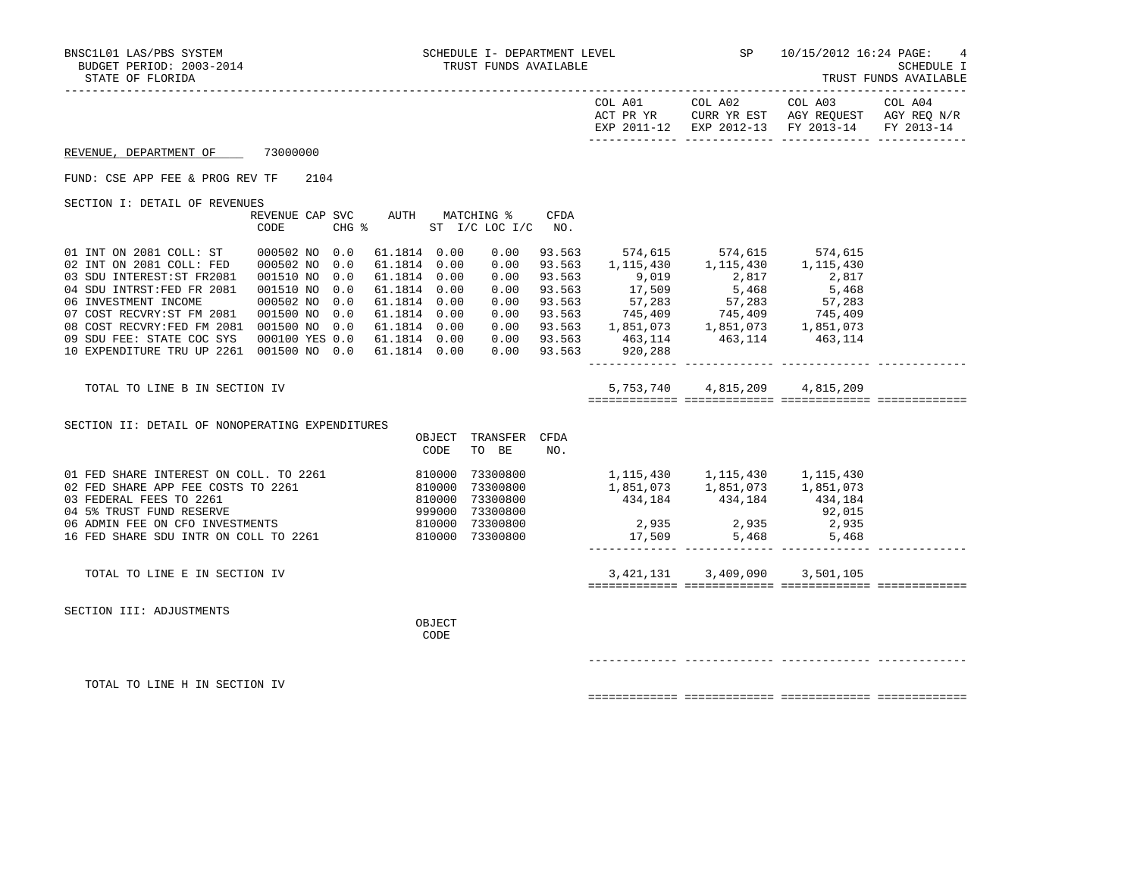| IKUSI FUNDS AVAILABLE                                                                                                                                                                                                                                                                                                                                                                                              |
|--------------------------------------------------------------------------------------------------------------------------------------------------------------------------------------------------------------------------------------------------------------------------------------------------------------------------------------------------------------------------------------------------------------------|
| COL A01 COL A02<br>COL A03 COL A04<br>ACT PR YR $\,$ CURR YR EST $\,$ AGY REQUEST $\,$ AGY REQ $\,$ N/R $\,$<br>EXP 2011-12 EXP 2012-13 FY 2013-14 FY 2013-14                                                                                                                                                                                                                                                      |
|                                                                                                                                                                                                                                                                                                                                                                                                                    |
|                                                                                                                                                                                                                                                                                                                                                                                                                    |
|                                                                                                                                                                                                                                                                                                                                                                                                                    |
| CFDA                                                                                                                                                                                                                                                                                                                                                                                                               |
| 93.563 574,615 574,615 574,615<br>93.563 $1,115,430$ $1,115,430$ $1,115,430$<br>93.563 9,019 2,817 2,817<br>93.563 17,509 5,468 5,468<br>93.563 57,283 57,283 57,283<br>93.563 745,409 745,409 745,409<br>93.563 1,851,073 1,851,073<br>93.563 1,851,073 1,851,073<br>93.563 463,114 463,114 463,114<br>10 EXPENDITURE TRU UP 2261 001500 NO 0.0 61.1814 0.00 0.00 93.563 920,288<br>5,753,740 4,815,209 4,815,209 |
|                                                                                                                                                                                                                                                                                                                                                                                                                    |
| 1, 115, 430 1, 115, 430 1, 115, 430<br>1,851,073    1,851,073    1,851,073<br>434, 184 434, 184 434, 184<br>$2,935$<br>2,935<br>17,509 5,468 5,468                                                                                                                                                                                                                                                                 |
|                                                                                                                                                                                                                                                                                                                                                                                                                    |

TOTAL TO LINE E IN SECTION IV 3,421,131 3,409,090 3,501,105

SECTION III: ADJUSTMENTS

OBJECT<br>CODE

**CODE** 

------------- ------------- ------------- -------------

============= ============= ============= =============

TOTAL TO LINE H IN SECTION IV

============= ============= ============= =============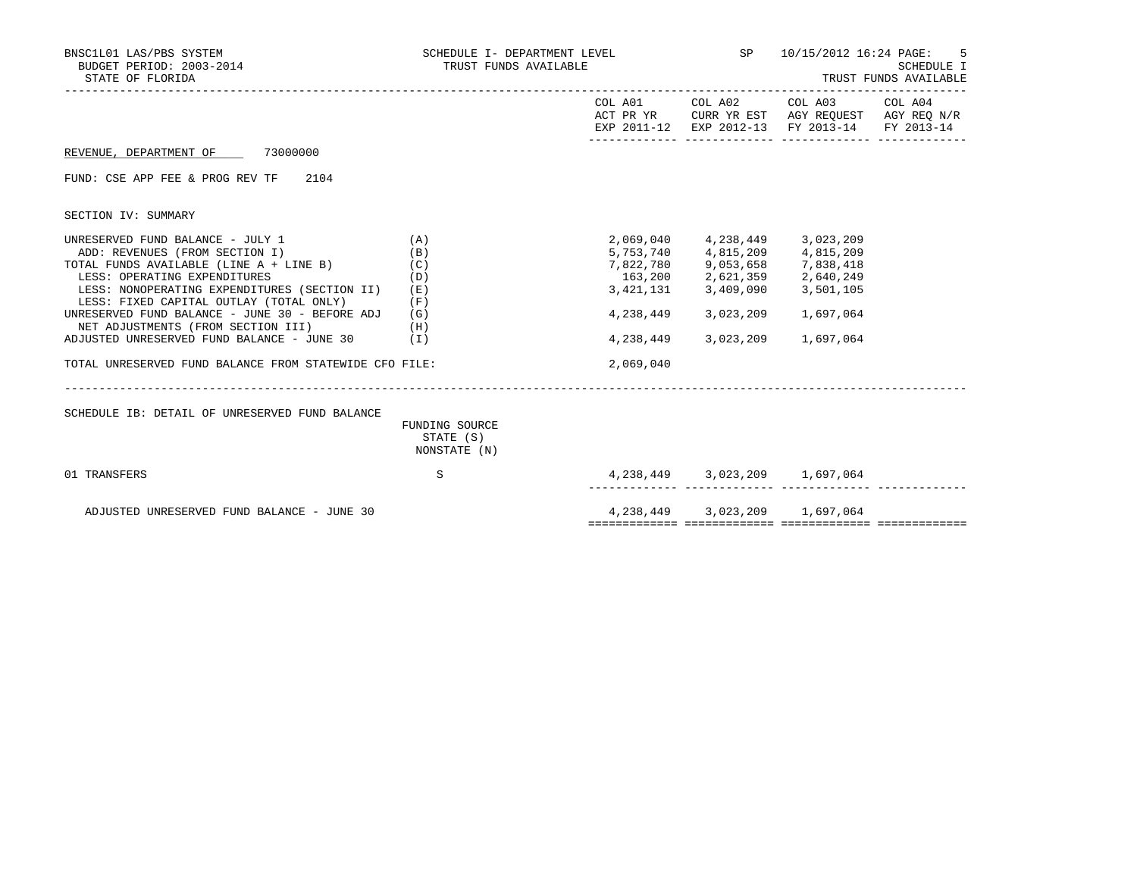| BNSC1L01 LAS/PBS SYSTEM<br>BUDGET PERIOD: 2003-2014<br>STATE OF FLORIDA                                                                                                                                                                                                                    | SCHEDULE I- DEPARTMENT LEVEL<br>TRUST FUNDS AVAILABLE |                                     | <b>SP</b>                                                                                                               | 10/15/2012 16:24 PAGE:                                                                                 | .5<br>SCHEDULE I<br>TRUST FUNDS AVAILABLE |
|--------------------------------------------------------------------------------------------------------------------------------------------------------------------------------------------------------------------------------------------------------------------------------------------|-------------------------------------------------------|-------------------------------------|-------------------------------------------------------------------------------------------------------------------------|--------------------------------------------------------------------------------------------------------|-------------------------------------------|
|                                                                                                                                                                                                                                                                                            |                                                       | COL A01                             | COL A02                                                                                                                 | COL A03 COL A04<br>ACT PR YR CURR YR EST AGY REQUEST AGY REQ N/R<br>EXP 2011-12 EXP 2012-13 FY 2013-14 | FY 2013-14                                |
| REVENUE, DEPARTMENT OF 73000000                                                                                                                                                                                                                                                            |                                                       |                                     |                                                                                                                         |                                                                                                        |                                           |
| 2104<br>FUND: CSE APP FEE & PROG REV TF                                                                                                                                                                                                                                                    |                                                       |                                     |                                                                                                                         |                                                                                                        |                                           |
| SECTION IV: SUMMARY                                                                                                                                                                                                                                                                        |                                                       |                                     |                                                                                                                         |                                                                                                        |                                           |
| UNRESERVED FUND BALANCE - JULY 1<br>ADD: REVENUES (FROM SECTION I)<br>TOTAL FUNDS AVAILABLE (LINE A + LINE B)<br>LESS: OPERATING EXPENDITURES<br>LESS: NONOPERATING EXPENDITURES (SECTION II)<br>LESS: FIXED CAPITAL OUTLAY (TOTAL ONLY)<br>UNRESERVED FUND BALANCE - JUNE 30 - BEFORE ADJ | (A)<br>(B)<br>(C)<br>(D)<br>(E)<br>(F)<br>(G)         | 2,069,040<br>3,421,131<br>4,238,449 | 5,753,740 4,815,209 4,815,209<br>7,822,780 9,053,658 7,838,418<br>163,200 2,621,359 2,640,249<br>3,409,090<br>3,023,209 | 4, 238, 449 3, 023, 209<br>3,501,105<br>1,697,064                                                      |                                           |
| NET ADJUSTMENTS (FROM SECTION III)<br>ADJUSTED UNRESERVED FUND BALANCE - JUNE $30$ (I)                                                                                                                                                                                                     | (H)                                                   | 4,238,449                           | 3,023,209                                                                                                               | 1,697,064                                                                                              |                                           |
| TOTAL UNRESERVED FUND BALANCE FROM STATEWIDE CFO FILE:                                                                                                                                                                                                                                     |                                                       | 2,069,040                           |                                                                                                                         |                                                                                                        |                                           |
|                                                                                                                                                                                                                                                                                            |                                                       |                                     |                                                                                                                         |                                                                                                        |                                           |
| SCHEDULE IB: DETAIL OF UNRESERVED FUND BALANCE                                                                                                                                                                                                                                             | FUNDING SOURCE<br>STATE (S)<br>NONSTATE (N)           |                                     |                                                                                                                         |                                                                                                        |                                           |
| 01 TRANSFERS                                                                                                                                                                                                                                                                               | S                                                     |                                     |                                                                                                                         | 4, 238, 449 3, 023, 209 1, 697, 064                                                                    |                                           |
| ADJUSTED UNRESERVED FUND BALANCE - JUNE 30                                                                                                                                                                                                                                                 |                                                       |                                     |                                                                                                                         | 4, 238, 449 3, 023, 209 1, 697, 064                                                                    |                                           |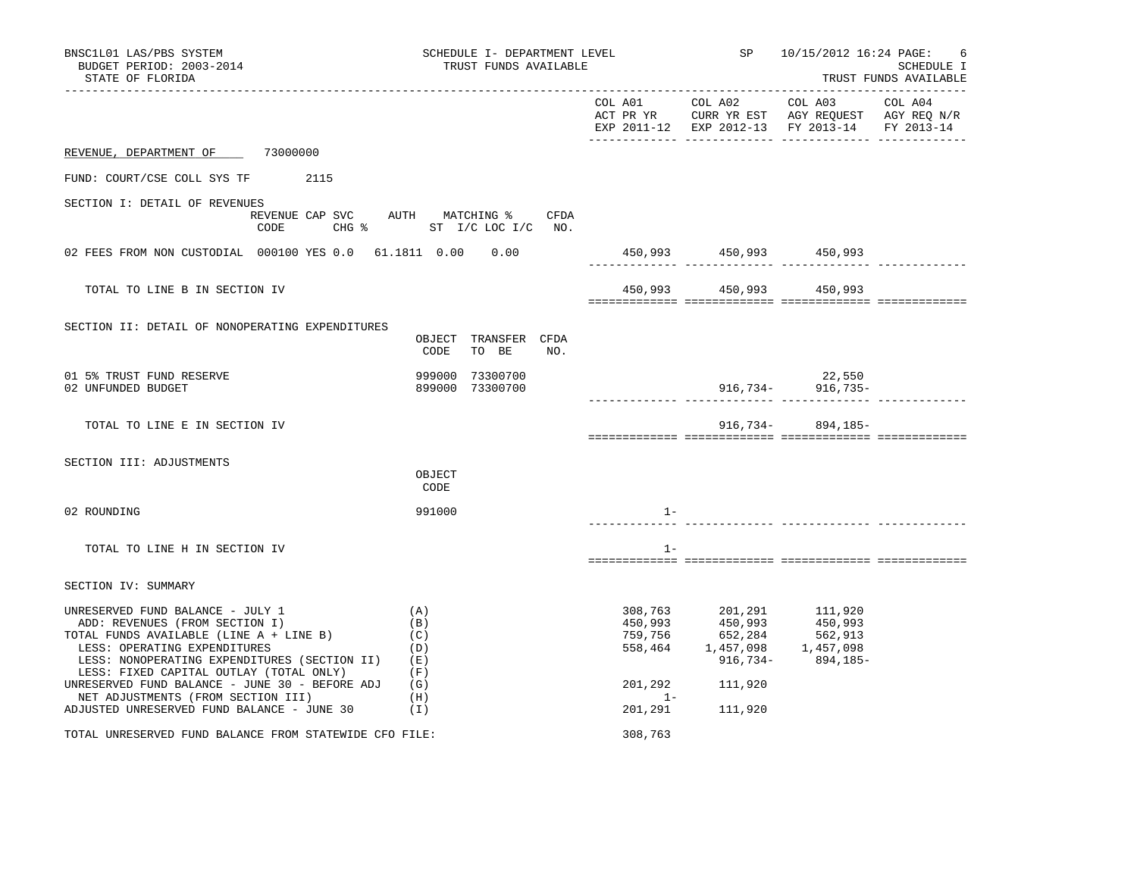| BNSC1L01 LAS/PBS SYSTEM<br>BUDGET PERIOD: 2003-2014<br>STATE OF FLORIDA                                                                                                                                                                                                                                                                                                        |                                                             | SCHEDULE I- DEPARTMENT LEVEL<br>TRUST FUNDS AVAILABLE |     |                  |                                                                                                                                                                                         | SP 10/15/2012 16:24 PAGE:                                                                      | 6<br>SCHEDULE I<br>TRUST FUNDS AVAILABLE |
|--------------------------------------------------------------------------------------------------------------------------------------------------------------------------------------------------------------------------------------------------------------------------------------------------------------------------------------------------------------------------------|-------------------------------------------------------------|-------------------------------------------------------|-----|------------------|-----------------------------------------------------------------------------------------------------------------------------------------------------------------------------------------|------------------------------------------------------------------------------------------------|------------------------------------------|
|                                                                                                                                                                                                                                                                                                                                                                                |                                                             |                                                       |     |                  |                                                                                                                                                                                         | ACT PR YR CURR YR EST AGY REQUEST AGY REQ N/R<br>EXP 2011-12 EXP 2012-13 FY 2013-14 FY 2013-14 |                                          |
| REVENUE, DEPARTMENT OF 73000000                                                                                                                                                                                                                                                                                                                                                |                                                             |                                                       |     |                  |                                                                                                                                                                                         |                                                                                                |                                          |
| FUND: COURT/CSE COLL SYS TF 2115                                                                                                                                                                                                                                                                                                                                               |                                                             |                                                       |     |                  |                                                                                                                                                                                         |                                                                                                |                                          |
| SECTION I: DETAIL OF REVENUES<br>REVENUE CAP SVC AUTH MATCHING % CFDA<br>CODE CHG % ST I/C LOC I/C NO.                                                                                                                                                                                                                                                                         |                                                             |                                                       |     |                  |                                                                                                                                                                                         |                                                                                                |                                          |
| 02 FEES FROM NON CUSTODIAL 000100 YES 0.0 61.1811 0.00 0.00                                                                                                                                                                                                                                                                                                                    |                                                             |                                                       |     |                  | 450,993 450,993 450,993                                                                                                                                                                 |                                                                                                |                                          |
| TOTAL TO LINE B IN SECTION IV                                                                                                                                                                                                                                                                                                                                                  |                                                             |                                                       |     |                  | 450,993 450,993 450,993                                                                                                                                                                 |                                                                                                |                                          |
| SECTION II: DETAIL OF NONOPERATING EXPENDITURES                                                                                                                                                                                                                                                                                                                                | CODE                                                        | OBJECT TRANSFER CFDA<br>TO BE                         | NO. |                  |                                                                                                                                                                                         |                                                                                                |                                          |
| 01 5% TRUST FUND RESERVE<br>02 UNFUNDED BUDGET                                                                                                                                                                                                                                                                                                                                 | 999000                                                      | 73300700<br>899000 73300700                           |     |                  |                                                                                                                                                                                         | 22,550<br>$916,734 - 916,735 -$<br>._______ ______________ _______                             |                                          |
| TOTAL TO LINE E IN SECTION IV                                                                                                                                                                                                                                                                                                                                                  |                                                             |                                                       |     |                  |                                                                                                                                                                                         | $916,734 - 894,185 -$                                                                          |                                          |
| SECTION III: ADJUSTMENTS                                                                                                                                                                                                                                                                                                                                                       | OBJECT<br>CODE                                              |                                                       |     |                  |                                                                                                                                                                                         |                                                                                                |                                          |
| 02 ROUNDING                                                                                                                                                                                                                                                                                                                                                                    | 991000                                                      |                                                       |     | $1 -$            |                                                                                                                                                                                         |                                                                                                |                                          |
| TOTAL TO LINE H IN SECTION IV                                                                                                                                                                                                                                                                                                                                                  |                                                             |                                                       |     | $1 -$            |                                                                                                                                                                                         |                                                                                                |                                          |
| SECTION IV: SUMMARY                                                                                                                                                                                                                                                                                                                                                            |                                                             |                                                       |     |                  |                                                                                                                                                                                         |                                                                                                |                                          |
| UNRESERVED FUND BALANCE - JULY 1<br>ADD: REVENUES (FROM SECTION I)<br>TOTAL FUNDS AVAILABLE (LINE A + LINE B)<br>LESS: OPERATING EXPENDITURES<br>LESS: NONOPERATING EXPENDITURES (SECTION II)<br>LESS: FIXED CAPITAL OUTLAY (TOTAL ONLY)<br>UNRESERVED FUND BALANCE - JUNE 30 - BEFORE ADJ<br>NET ADJUSTMENTS (FROM SECTION III)<br>ADJUSTED UNRESERVED FUND BALANCE - JUNE 30 | (A)<br>(B)<br>(C)<br>(D)<br>(E)<br>(F)<br>(G)<br>(H)<br>(1) |                                                       |     | 201,292<br>$1 -$ | $\begin{array}{cccc} 308, 763 & 201, 291 & 111, 920 \\ 450, 993 & 450, 993 & 450, 993 \\ 759, 756 & 652, 284 & 562, 913 \\ 558, 464 & 1, 457, 098 & 1, 457, 098 \end{array}$<br>111,920 | $916,734 - 894,185 -$                                                                          |                                          |
| TOTAL UNRESERVED FUND BALANCE FROM STATEWIDE CFO FILE:                                                                                                                                                                                                                                                                                                                         |                                                             |                                                       |     | 308,763          | 201,291 111,920                                                                                                                                                                         |                                                                                                |                                          |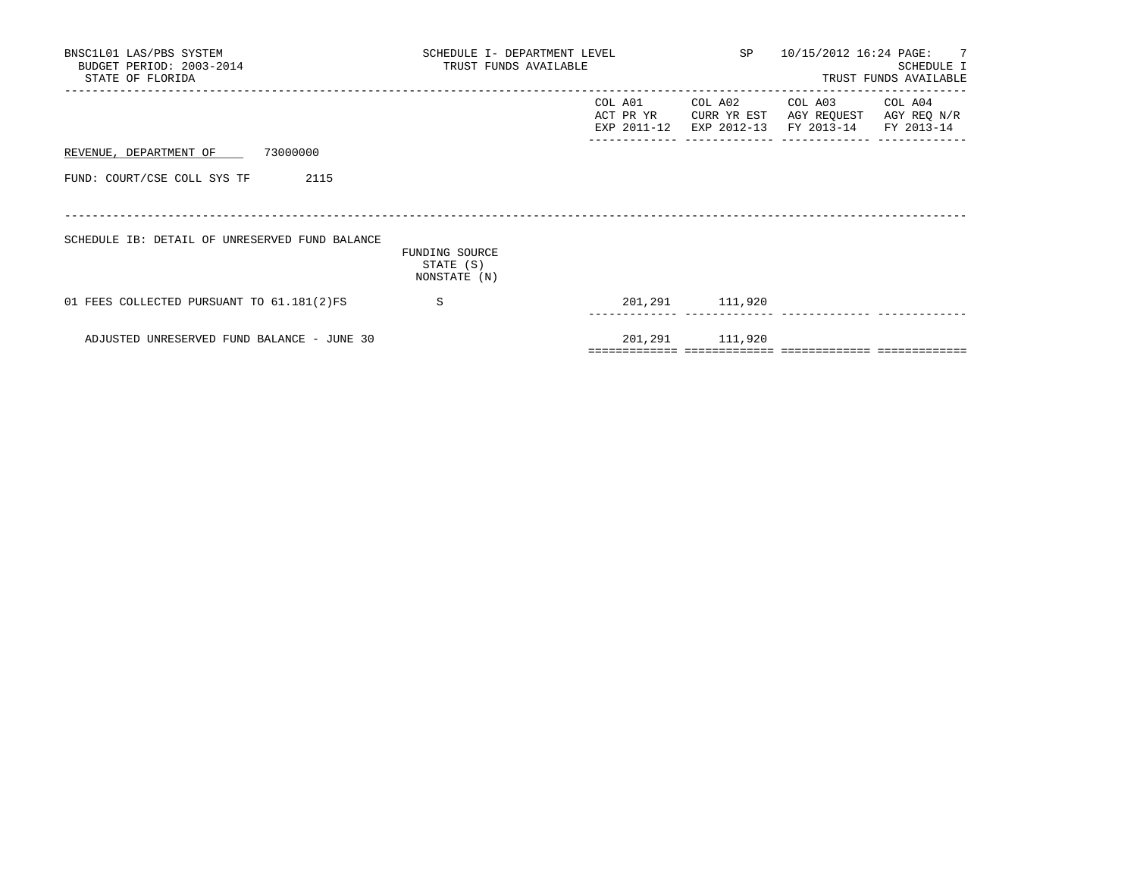| BNSC1L01 LAS/PBS SYSTEM<br>BUDGET PERIOD: 2003-2014<br>STATE OF FLORIDA | SCHEDULE I- DEPARTMENT LEVEL<br>TRUST FUNDS AVAILABLE |         |                                  | SP 10/15/2012 16:24 PAGE: 7                                                         | SCHEDULE I<br>TRUST FUNDS AVAILABLE |
|-------------------------------------------------------------------------|-------------------------------------------------------|---------|----------------------------------|-------------------------------------------------------------------------------------|-------------------------------------|
|                                                                         |                                                       | COL A01 | COL A02<br>ACT PR YR CURR YR EST | COL A03<br>AGY REQUEST AGY REQ N/R<br>EXP 2011-12 EXP 2012-13 FY 2013-14 FY 2013-14 | COL A04                             |
| REVENUE, DEPARTMENT OF 73000000                                         |                                                       |         |                                  |                                                                                     |                                     |
| FUND: COURT/CSE COLL SYS TF<br>2115                                     |                                                       |         |                                  |                                                                                     |                                     |
| SCHEDULE IB: DETAIL OF UNRESERVED FUND BALANCE                          | FUNDING SOURCE<br>STATE (S)<br>NONSTATE (N)           |         |                                  |                                                                                     |                                     |
| 01 FEES COLLECTED PURSUANT TO 61.181(2)FS                               | S.                                                    |         | 201,291 111,920                  |                                                                                     |                                     |
| ADJUSTED UNRESERVED FUND BALANCE - JUNE 30                              |                                                       |         | 201,291 111,920                  |                                                                                     |                                     |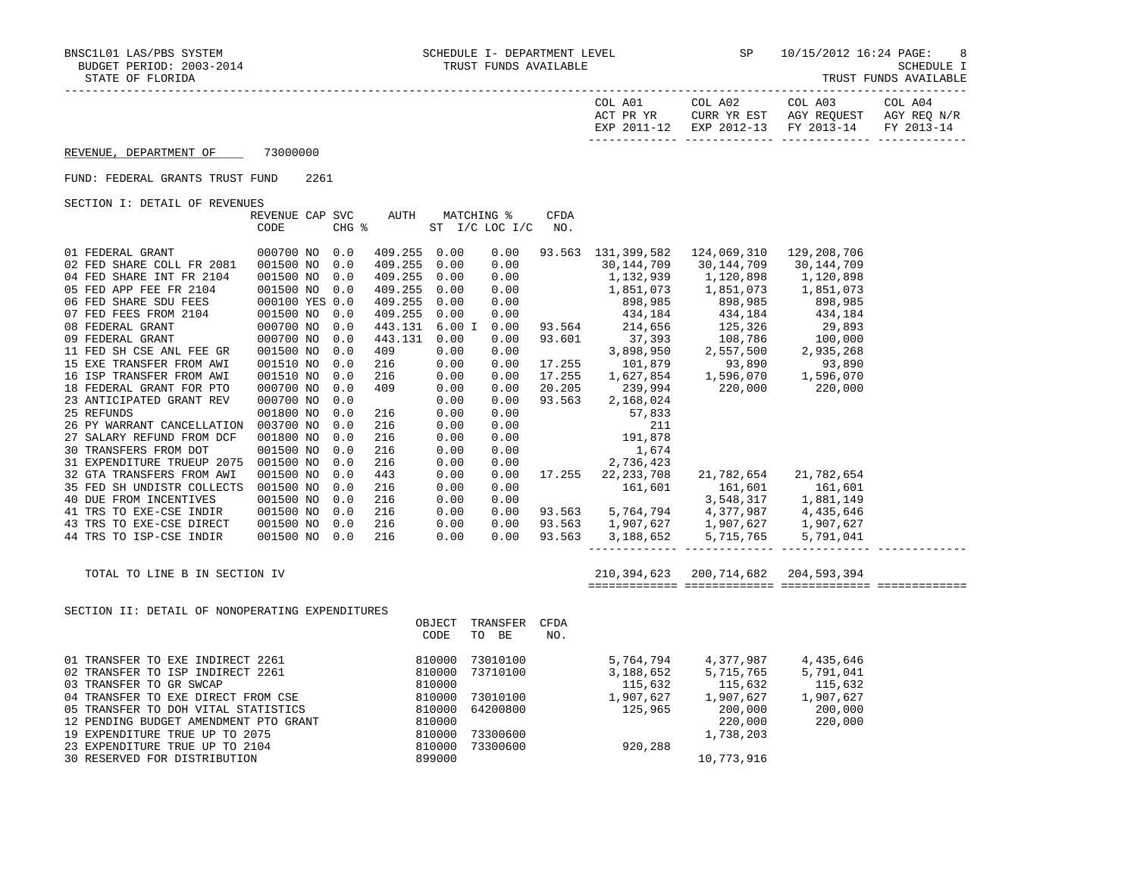| COL A01<br>ACT PR YR | COL A02<br>CURR YR EST            | COL A03<br>AGY REOUEST | COL A04<br>AGY REO N/R |
|----------------------|-----------------------------------|------------------------|------------------------|
| EXP 2011-12          | EXP 2012-13 FY 2013-14 FY 2013-14 |                        |                        |

## REVENUE, DEPARTMENT OF 73000000

## FUND: FEDERAL GRANTS TRUST FUND 2261

SECTION I: DETAIL OF REVENUES

|                                                                                        | REVENUE CAP SVC<br>CODE | CHG % | AUTH         |      | MATCHING %<br>ST I/C LOC I/C | CFDA<br>NO. |                                                  |                                                                                                                                                                                                                                                                                              |                       |  |
|----------------------------------------------------------------------------------------|-------------------------|-------|--------------|------|------------------------------|-------------|--------------------------------------------------|----------------------------------------------------------------------------------------------------------------------------------------------------------------------------------------------------------------------------------------------------------------------------------------------|-----------------------|--|
| 01 FEDERAL GRANT                                                                       | 000700 NO 0.0           |       | 409.255 0.00 |      | 0.00                         |             |                                                  | 93.563 131,399,582 124,069,310 129,208,706                                                                                                                                                                                                                                                   |                       |  |
| 02 FED SHARE COLL FR 2081                                                              | 001500 NO 0.0           |       | 409.255 0.00 |      | 0.00                         |             |                                                  | 30, 144, 709 30, 144, 709                                                                                                                                                                                                                                                                    | 30,144,709            |  |
| 04 FED SHARE INT FR 2104                                                               | 001500 NO 0.0           |       |              |      |                              |             |                                                  | $\begin{array}{cccccccc} 409.255&0.00&0.00&30,144,709&30,144,709&30,144,709\\ 409.255&0.00&0.00&1,132,939&1,120,898&1,120,898\\ 409.255&0.00&0.00&0.00&898,985&898,985&898,985\\ 409.255&0.00&0.00&898,985&898,985&898,985&898,985\\ 409.255&0.0$                                            |                       |  |
| 05 FED APP FEE FR 2104                                                                 | 001500 NO 0.0           |       |              |      |                              |             |                                                  |                                                                                                                                                                                                                                                                                              |                       |  |
|                                                                                        | 000100 YES 0.0          |       |              |      |                              |             |                                                  |                                                                                                                                                                                                                                                                                              |                       |  |
|                                                                                        | 001500 NO               | 0.0   |              |      |                              |             |                                                  |                                                                                                                                                                                                                                                                                              |                       |  |
| 06 FED SHARE SDU FEES<br>07 FED FEES FROM 2104<br>08 FEDERAL GRANT<br>09 FEDERAL GRANT | 000700 NO 0.0           |       |              |      |                              |             |                                                  |                                                                                                                                                                                                                                                                                              |                       |  |
|                                                                                        | 000700 NO 0.0           |       |              |      |                              |             |                                                  |                                                                                                                                                                                                                                                                                              |                       |  |
| 11 FED SH CSE ANL FEE GR                                                               | 001500 NO               | 0.0   |              |      |                              |             |                                                  |                                                                                                                                                                                                                                                                                              |                       |  |
| 15 EXE TRANSFER FROM AWI                                                               | 001510 NO 0.0           |       |              |      |                              |             |                                                  |                                                                                                                                                                                                                                                                                              |                       |  |
| 16 ISP TRANSFER FROM AWI                                                               | 001510 NO               | 0.0   |              |      |                              |             |                                                  |                                                                                                                                                                                                                                                                                              |                       |  |
| 18 FEDERAL GRANT FOR PTO                                                               | 000700 NO               | 0.0   |              |      |                              |             |                                                  |                                                                                                                                                                                                                                                                                              |                       |  |
| 23 ANTICIPATED GRANT REV                                                               | 000700 NO               | 0.0   |              |      |                              |             |                                                  |                                                                                                                                                                                                                                                                                              |                       |  |
| 25 REFUNDS                                                                             | 001800 NO               | 0.0   | 216          | 0.00 | 0.00                         |             |                                                  |                                                                                                                                                                                                                                                                                              |                       |  |
| 26 PY WARRANT CANCELLATION                                                             | 003700 NO               | 0.0   | 216          | 0.00 | 0.00                         |             |                                                  |                                                                                                                                                                                                                                                                                              |                       |  |
| 27 SALARY REFUND FROM DCF                                                              | 001800 NO               | 0.0   | 216          | 0.00 | 0.00                         |             | $57,833$<br>211<br>31,878<br>21,674<br>2,736,423 |                                                                                                                                                                                                                                                                                              |                       |  |
| 30 TRANSFERS FROM DOT                                                                  | 001500 NO               | 0.0   | 216          | 0.00 | 0.00                         |             |                                                  |                                                                                                                                                                                                                                                                                              |                       |  |
| 31 EXPENDITURE TRUEUP 2075                                                             | 001500 NO               | 0.0   | 216          | 0.00 | 0.00                         |             |                                                  |                                                                                                                                                                                                                                                                                              |                       |  |
| 32 GTA TRANSFERS FROM AWI                                                              | 001500 NO               | 0.0   | 443          | 0.00 |                              |             | $0.00$ 17.255 22,233,708                         |                                                                                                                                                                                                                                                                                              | 21,782,654 21,782,654 |  |
| 35 FED SH UNDISTR COLLECTS 001500 NO                                                   |                         | 0.0   | 216          | 0.00 |                              |             |                                                  |                                                                                                                                                                                                                                                                                              |                       |  |
| 40 DUE FROM INCENTIVES                                                                 | 001500 NO               | 0.0   | 216          | 0.00 |                              |             |                                                  |                                                                                                                                                                                                                                                                                              |                       |  |
| 41 TRS TO EXE-CSE INDIR                                                                | 001500 NO 0.0           |       | 216          | 0.00 |                              |             |                                                  |                                                                                                                                                                                                                                                                                              |                       |  |
| 43 TRS TO EXE-CSE DIRECT 001500 NO 0.0                                                 |                         |       | 216          | 0.00 |                              |             |                                                  |                                                                                                                                                                                                                                                                                              |                       |  |
| 44 TRS TO ISP-CSE INDIR                                                                | 001500 NO 0.0           |       | 216          | 0.00 |                              |             |                                                  | $161,601$<br>$161,601$<br>$161,601$<br>$161,601$<br>$161,601$<br>$161,601$<br>$161,601$<br>$161,601$<br>$161,601$<br>$161,601$<br>$161,601$<br>$161,601$<br>$161,601$<br>$161,601$<br>$161,601$<br>$161,601$<br>$161,601$<br>$161,601$<br>$161,601$<br>$161,601$<br>                         |                       |  |
|                                                                                        |                         |       |              |      |                              |             |                                                  | 210, 394, 623 200, 714, 682 204, 593, 394                                                                                                                                                                                                                                                    |                       |  |
| TOTAL TO LINE B IN SECTION IV                                                          |                         |       |              |      |                              |             |                                                  |                                                                                                                                                                                                                                                                                              |                       |  |
| SECTION II: DETAIL OF NONOPERATING EXPENDITURES                                        |                         |       |              |      |                              |             |                                                  |                                                                                                                                                                                                                                                                                              |                       |  |
|                                                                                        |                         |       |              |      | OBJECT TRANSFER CFDA         |             |                                                  |                                                                                                                                                                                                                                                                                              |                       |  |
|                                                                                        |                         |       |              | CODE | TO BE                        | NO.         |                                                  |                                                                                                                                                                                                                                                                                              |                       |  |
|                                                                                        |                         |       |              |      |                              |             |                                                  |                                                                                                                                                                                                                                                                                              |                       |  |
|                                                                                        |                         |       |              |      |                              |             |                                                  |                                                                                                                                                                                                                                                                                              |                       |  |
|                                                                                        |                         |       |              |      |                              |             |                                                  |                                                                                                                                                                                                                                                                                              |                       |  |
|                                                                                        |                         |       |              |      |                              |             |                                                  |                                                                                                                                                                                                                                                                                              |                       |  |
|                                                                                        |                         |       |              |      |                              |             |                                                  |                                                                                                                                                                                                                                                                                              |                       |  |
|                                                                                        |                         |       |              |      |                              |             |                                                  |                                                                                                                                                                                                                                                                                              |                       |  |
|                                                                                        |                         |       |              |      |                              |             |                                                  |                                                                                                                                                                                                                                                                                              |                       |  |
|                                                                                        |                         |       |              |      |                              |             |                                                  |                                                                                                                                                                                                                                                                                              |                       |  |
|                                                                                        |                         |       |              |      |                              |             |                                                  |                                                                                                                                                                                                                                                                                              |                       |  |
|                                                                                        |                         |       |              |      |                              |             |                                                  | $\begin{array}{cccccc} 73010100 & & & & & 5,764,794 & & 4,377,987 & & 4,435,646 \\ 73710100 & & & & 3,188,652 & & 5,715,765 & & 5,791,041 \\ & & & & 115,632 & & 115,632 & & 115,632 \\ 73010100 & & & & 1,907,627 & & 1,907,627 & & 1,907,627 \\ 64200800 & & & & 125,965 & & 200,000 & & $ |                       |  |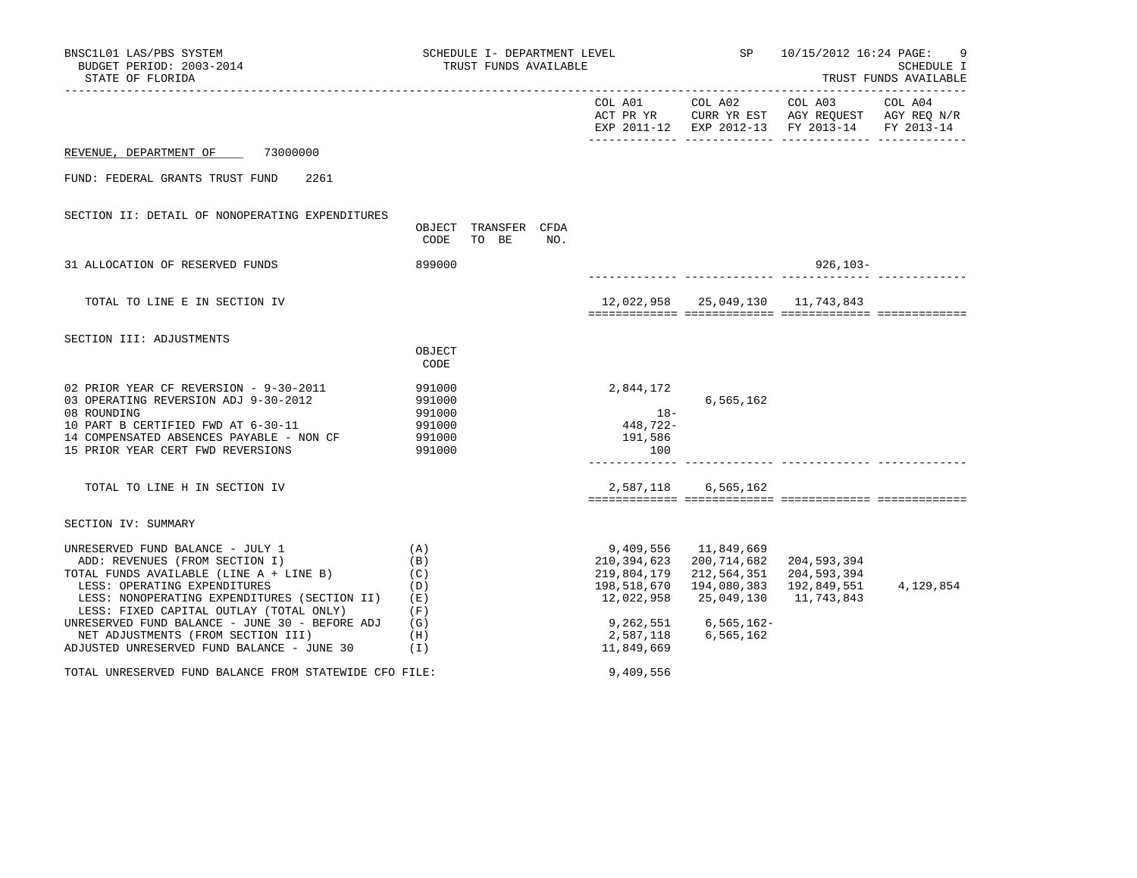| BNSC1L01 LAS/PBS SYSTEM<br>BUDGET PERIOD: 2003-2014<br>STATE OF FLORIDA                                                                                                                                                                                                                                                                                                        |                                                             | TRUST FUNDS AVAILABLE         |     | SCHEDULE I- DEPARTMENT LEVEL $SP$ 10/15/2012 16:24 PAGE:                                                     |                                                                                                       |                                                                                             | 9<br>SCHEDULE I<br>TRUST FUNDS AVAILABLE |
|--------------------------------------------------------------------------------------------------------------------------------------------------------------------------------------------------------------------------------------------------------------------------------------------------------------------------------------------------------------------------------|-------------------------------------------------------------|-------------------------------|-----|--------------------------------------------------------------------------------------------------------------|-------------------------------------------------------------------------------------------------------|---------------------------------------------------------------------------------------------|------------------------------------------|
|                                                                                                                                                                                                                                                                                                                                                                                |                                                             |                               |     |                                                                                                              |                                                                                                       | ACT PR YR CURR YR EST AGY REQUEST AGY REQ N/R EXP 2011-12 EXP 2012-13 FY 2013-14 FY 2013-14 |                                          |
| 73000000<br>REVENUE, DEPARTMENT OF                                                                                                                                                                                                                                                                                                                                             |                                                             |                               |     |                                                                                                              |                                                                                                       |                                                                                             |                                          |
| FUND: FEDERAL GRANTS TRUST FUND<br>2261                                                                                                                                                                                                                                                                                                                                        |                                                             |                               |     |                                                                                                              |                                                                                                       |                                                                                             |                                          |
| SECTION II: DETAIL OF NONOPERATING EXPENDITURES                                                                                                                                                                                                                                                                                                                                | CODE                                                        | OBJECT TRANSFER CFDA<br>TO BE | NO. |                                                                                                              |                                                                                                       |                                                                                             |                                          |
| 31 ALLOCATION OF RESERVED FUNDS                                                                                                                                                                                                                                                                                                                                                | 899000                                                      |                               |     |                                                                                                              |                                                                                                       | 926,103-                                                                                    |                                          |
| TOTAL TO LINE E IN SECTION IV                                                                                                                                                                                                                                                                                                                                                  |                                                             |                               |     |                                                                                                              |                                                                                                       | 12,022,958 25,049,130 11,743,843                                                            |                                          |
| SECTION III: ADJUSTMENTS                                                                                                                                                                                                                                                                                                                                                       | OBJECT<br>CODE                                              |                               |     |                                                                                                              |                                                                                                       |                                                                                             |                                          |
| 02 PRIOR YEAR CF REVERSION - 9-30-2011<br>03 OPERATING REVERSION ADJ 9-30-2012<br>08 ROUNDING<br>10 PART B CERTIFIED FWD AT 6-30-11<br>14 COMPENSATED ABSENCES PAYABLE - NON CF<br>15 PRIOR YEAR CERT FWD REVERSIONS                                                                                                                                                           | 991000<br>991000<br>991000<br>991000<br>991000<br>991000    |                               |     | 2,844,172<br>$18-$<br>448,722-<br>191,586<br>100                                                             | 6,565,162                                                                                             |                                                                                             |                                          |
| TOTAL TO LINE H IN SECTION IV                                                                                                                                                                                                                                                                                                                                                  |                                                             |                               |     |                                                                                                              | 2,587,118 6,565,162                                                                                   |                                                                                             |                                          |
| SECTION IV: SUMMARY                                                                                                                                                                                                                                                                                                                                                            |                                                             |                               |     |                                                                                                              |                                                                                                       |                                                                                             |                                          |
| UNRESERVED FUND BALANCE - JULY 1<br>ADD: REVENUES (FROM SECTION I)<br>TOTAL FUNDS AVAILABLE (LINE A + LINE B)<br>LESS: OPERATING EXPENDITURES<br>LESS: NONOPERATING EXPENDITURES (SECTION II)<br>LESS: FIXED CAPITAL OUTLAY (TOTAL ONLY)<br>UNRESERVED FUND BALANCE - JUNE 30 - BEFORE ADJ<br>NET ADJUSTMENTS (FROM SECTION III)<br>ADJUSTED UNRESERVED FUND BALANCE - JUNE 30 | (A)<br>(B)<br>(C)<br>(D)<br>(E)<br>(F)<br>(G)<br>(H)<br>(I) |                               |     | 9,409,556<br>210,394,623<br>219,804,179<br>198,518,670<br>12,022,958<br>9,262,551<br>2,587,118<br>11,849,669 | 11,849,669<br>200,714,682<br>212,564,351<br>194,080,383<br>25,049,130<br>$6, 565, 162 -$<br>6,565,162 | 204,593,394<br>204,593,394<br>192,849,551<br>11,743,843                                     | 4,129,854                                |
| TOTAL UNRESERVED FUND BALANCE FROM STATEWIDE CFO FILE:                                                                                                                                                                                                                                                                                                                         |                                                             |                               |     | 9,409,556                                                                                                    |                                                                                                       |                                                                                             |                                          |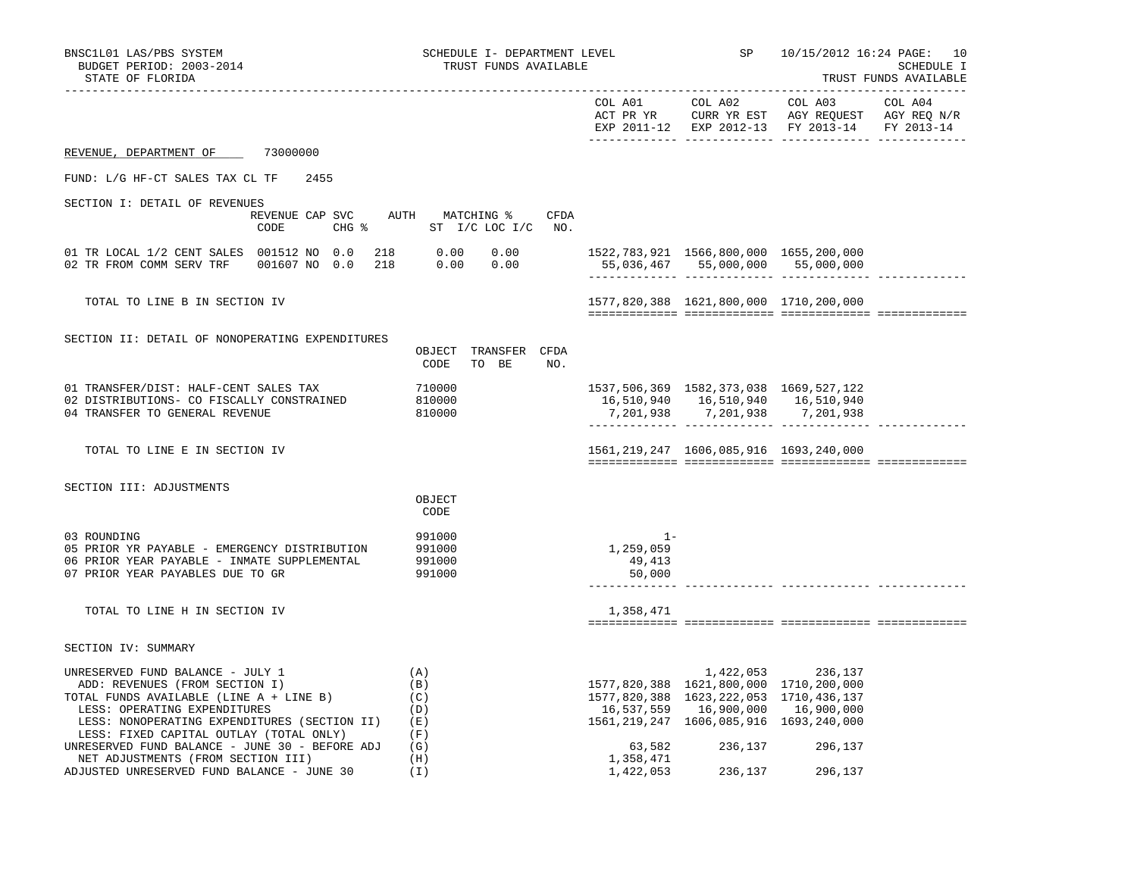| BNSC1L01 LAS/PBS SYSTEM<br>BUDGET PERIOD: 2003-2014<br>STATE OF FLORIDA   | SCHEDULE I- DEPARTMENT LEVEL<br>TRUST FUNDS AVAILABLE |           | SP                                                                               | 10/15/2012 16:24 PAGE: 10<br>SCHEDULE I<br>TRUST FUNDS AVAILABLE                                                          |         |  |
|---------------------------------------------------------------------------|-------------------------------------------------------|-----------|----------------------------------------------------------------------------------|---------------------------------------------------------------------------------------------------------------------------|---------|--|
|                                                                           |                                                       |           |                                                                                  |                                                                                                                           |         |  |
|                                                                           |                                                       |           |                                                                                  | COL A01 COL A02 COL A03<br>ACT PR YR CURR YR EST AGY REQUEST AGY REQ N/R<br>EXP 2011-12 EXP 2012-13 FY 2013-14 FY 2013-14 | COL A04 |  |
| REVENUE, DEPARTMENT OF 73000000                                           |                                                       |           |                                                                                  |                                                                                                                           |         |  |
| FUND: L/G HF-CT SALES TAX CL TF<br>2455                                   |                                                       |           |                                                                                  |                                                                                                                           |         |  |
| SECTION I: DETAIL OF REVENUES                                             |                                                       |           |                                                                                  |                                                                                                                           |         |  |
| REVENUE CAP SVC AUTH MATCHING %                                           | CFDA                                                  |           |                                                                                  |                                                                                                                           |         |  |
| CODE                                                                      | CHG % ST I/C LOC I/C NO.                              |           |                                                                                  |                                                                                                                           |         |  |
| 01 TR LOCAL 1/2 CENT SALES 001512 NO 0.0                                  |                                                       |           | 1522,783,921 1566,800,000 1655,200,000                                           |                                                                                                                           |         |  |
| 02 TR FROM COMM SERV TRF 001607 NO 0.0                                    | $218$ 0.00 0.00<br>218 0.00 0.00                      |           | 55,036,467 55,000,000 55,000,000                                                 |                                                                                                                           |         |  |
|                                                                           |                                                       |           |                                                                                  |                                                                                                                           |         |  |
| TOTAL TO LINE B IN SECTION IV                                             |                                                       |           | 1577,820,388 1621,800,000 1710,200,000                                           |                                                                                                                           |         |  |
|                                                                           |                                                       |           |                                                                                  |                                                                                                                           |         |  |
|                                                                           |                                                       |           |                                                                                  |                                                                                                                           |         |  |
| SECTION II: DETAIL OF NONOPERATING EXPENDITURES                           |                                                       |           |                                                                                  |                                                                                                                           |         |  |
|                                                                           | OBJECT TRANSFER CFDA<br>CODE<br>TO BE<br>NO.          |           |                                                                                  |                                                                                                                           |         |  |
|                                                                           |                                                       |           |                                                                                  |                                                                                                                           |         |  |
| 01 TRANSFER/DIST: HALF-CENT SALES TAX                                     | 710000                                                |           | 1537, 506, 369 1582, 373, 038 1669, 527, 122                                     |                                                                                                                           |         |  |
| 02 DISTRIBUTIONS- CO FISCALLY CONSTRAINED                                 | 810000                                                |           | 16,510,940 16,510,940 16,510,940                                                 |                                                                                                                           |         |  |
| 04 TRANSFER TO GENERAL REVENUE                                            | 810000                                                |           | 7,201,938 7,201,938 7,201,938                                                    |                                                                                                                           |         |  |
|                                                                           |                                                       |           |                                                                                  |                                                                                                                           |         |  |
| TOTAL TO LINE E IN SECTION IV                                             |                                                       |           | 1561, 219, 247 1606, 085, 916 1693, 240, 000                                     |                                                                                                                           |         |  |
|                                                                           |                                                       |           |                                                                                  |                                                                                                                           |         |  |
| SECTION III: ADJUSTMENTS                                                  |                                                       |           |                                                                                  |                                                                                                                           |         |  |
|                                                                           | OBJECT                                                |           |                                                                                  |                                                                                                                           |         |  |
|                                                                           | CODE                                                  |           |                                                                                  |                                                                                                                           |         |  |
| 03 ROUNDING                                                               |                                                       | $1 -$     |                                                                                  |                                                                                                                           |         |  |
| 05 PRIOR YR PAYABLE - EMERGENCY DISTRIBUTION                              | 991000<br>991000                                      | 1,259,059 |                                                                                  |                                                                                                                           |         |  |
| 06 PRIOR YEAR PAYABLE - INMATE SUPPLEMENTAL                               | 991000                                                | 49,413    |                                                                                  |                                                                                                                           |         |  |
| 07 PRIOR YEAR PAYABLES DUE TO GR                                          | 991000                                                | 50,000    |                                                                                  |                                                                                                                           |         |  |
|                                                                           |                                                       |           |                                                                                  |                                                                                                                           |         |  |
| TOTAL TO LINE H IN SECTION IV                                             |                                                       | 1,358,471 |                                                                                  |                                                                                                                           |         |  |
|                                                                           |                                                       |           |                                                                                  |                                                                                                                           |         |  |
| SECTION IV: SUMMARY                                                       |                                                       |           |                                                                                  |                                                                                                                           |         |  |
|                                                                           |                                                       |           |                                                                                  |                                                                                                                           |         |  |
| UNRESERVED FUND BALANCE - JULY 1                                          | (A)                                                   |           |                                                                                  | 1,422,053 236,137                                                                                                         |         |  |
| ADD: REVENUES (FROM SECTION I)<br>TOTAL FUNDS AVAILABLE (LINE A + LINE B) | (B)<br>(C)                                            |           | 1577,820,388 1621,800,000 1710,200,000<br>1577,820,388 1623,222,053 1710,436,137 |                                                                                                                           |         |  |
| LESS: OPERATING EXPENDITURES                                              | (D)                                                   |           | 16,537,559 16,900,000 16,900,000                                                 |                                                                                                                           |         |  |
| LESS: NONOPERATING EXPENDITURES (SECTION II)                              | (E)                                                   |           | 1561, 219, 247 1606, 085, 916 1693, 240, 000                                     |                                                                                                                           |         |  |
| LESS: FIXED CAPITAL OUTLAY (TOTAL ONLY)                                   | (F)                                                   |           |                                                                                  |                                                                                                                           |         |  |
| UNRESERVED FUND BALANCE - JUNE 30 - BEFORE ADJ                            | (G)                                                   | 63,582    |                                                                                  | 236,137 296,137                                                                                                           |         |  |
| NET ADJUSTMENTS (FROM SECTION III)                                        | (H)                                                   | 1,358,471 |                                                                                  |                                                                                                                           |         |  |
| ADJUSTED UNRESERVED FUND BALANCE - JUNE 30                                | (I)                                                   | 1,422,053 | 236,137                                                                          | 296,137                                                                                                                   |         |  |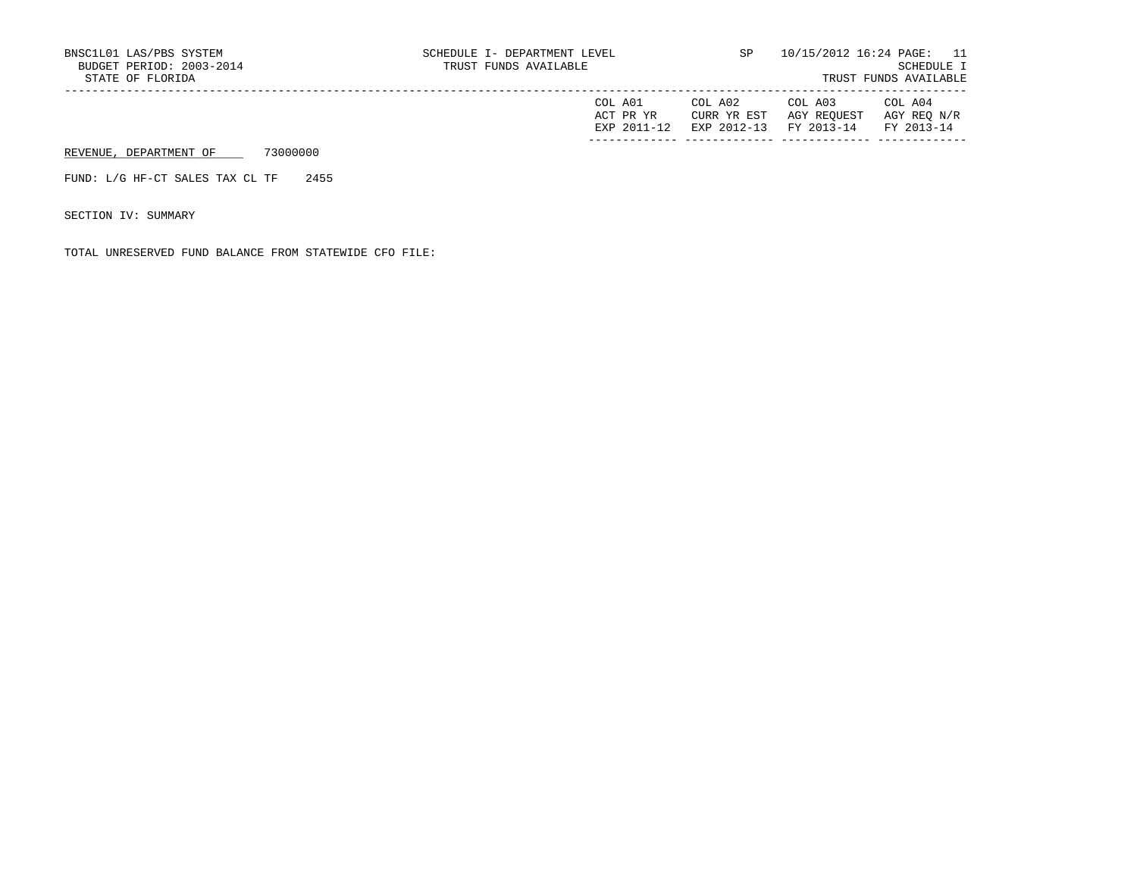| COL A01     | COL A02                           | COL A03                 | COL A04     |
|-------------|-----------------------------------|-------------------------|-------------|
| ACT PR YR   |                                   | CURR YR EST AGY REQUEST | AGY REO N/R |
| EXP 2011-12 | EXP 2012-13 FY 2013-14 FY 2013-14 |                         |             |
|             |                                   |                         |             |

## REVENUE, DEPARTMENT OF 73000000

FUND: L/G HF-CT SALES TAX CL TF 2455

SECTION IV: SUMMARY

TOTAL UNRESERVED FUND BALANCE FROM STATEWIDE CFO FILE: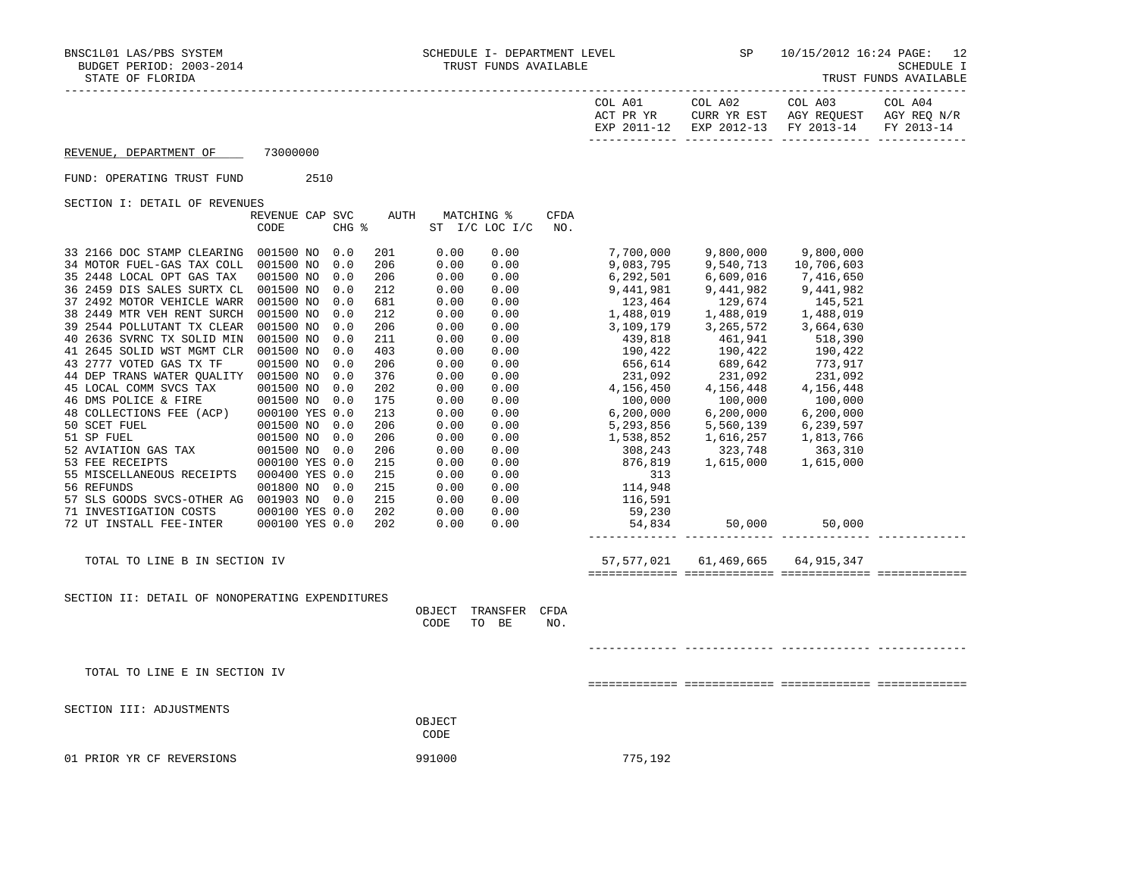| COL A01<br>ACT PR YR | COL A02<br>CURR YR EST            | COL A03<br>AGY REOUEST | COL A04<br>AGY REO N/R |
|----------------------|-----------------------------------|------------------------|------------------------|
| EXP 2011-12          | EXP 2012-13 FY 2013-14 FY 2013-14 |                        |                        |

REVENUE, DEPARTMENT OF 73000000

## FUND: OPERATING TRUST FUND 2510

SECTION I: DETAIL OF REVENUES

|                                                 | REVENUE CAP SVC<br>CODE |  | CHG % | AUTH |                | MATCHING %<br>ST I/C LOC I/C | CFDA<br>NO. |             |                                        |                      |  |
|-------------------------------------------------|-------------------------|--|-------|------|----------------|------------------------------|-------------|-------------|----------------------------------------|----------------------|--|
| 33 2166 DOC STAMP CLEARING                      | 001500 NO               |  | 0.0   | 201  | 0.00           | 0.00                         |             | 7,700,000   | 9,800,000                              | 9,800,000            |  |
| 34 MOTOR FUEL-GAS TAX COLL                      | 001500 NO               |  | 0.0   | 206  | 0.00           | 0.00                         |             | 9,083,795   | 9,540,713                              | 10,706,603           |  |
| 35 2448 LOCAL OPT GAS TAX                       | 001500 NO               |  | 0.0   | 206  | 0.00           | 0.00                         |             | 6,292,501   | 6,609,016                              | 7,416,650            |  |
| 36 2459 DIS SALES SURTX CL                      | 001500 NO               |  | 0.0   | 212  | 0.00           | 0.00                         |             | 9,441,981   | 9,441,982<br>129,674                   | 9,441,982            |  |
| 37 2492 MOTOR VEHICLE WARR                      | 001500 NO               |  | 0.0   | 681  | 0.00           | 0.00                         |             | 123,464     |                                        | 145,521              |  |
| 38 2449 MTR VEH RENT SURCH                      | 001500 NO               |  | 0.0   | 212  | 0.00           | 0.00                         |             | 1,488,019   | 1,488,019                              | 1,488,019            |  |
| 39 2544 POLLUTANT TX CLEAR                      | 001500 NO               |  | 0.0   | 206  | 0.00           | 0.00                         |             | 3,109,179   | 3,265,572<br>461,941                   | 3,664,630            |  |
| 40 2636 SVRNC TX SOLID MIN                      | 001500 NO               |  | 0.0   | 211  | 0.00           | 0.00                         |             | 439,818     |                                        | 518,390              |  |
| 41 2645 SOLID WST MGMT CLR                      | 001500 NO               |  | 0.0   | 403  | 0.00           | 0.00                         |             | 190,422     | 190,422                                | 190,422              |  |
| 43 2777 VOTED GAS TX TF                         | 001500 NO               |  | 0.0   | 206  | 0.00           | 0.00                         |             | 656,614     | 689,642<br>231,092                     | 773,917<br>231,092   |  |
| 44 DEP TRANS WATER QUALITY 001500 NO            |                         |  | 0.0   | 376  | 0.00           | 0.00                         |             | 231,092     |                                        |                      |  |
| 45 LOCAL COMM SVCS TAX                          | 001500 NO               |  | 0.0   | 202  | 0.00           | 0.00                         |             | 4,156,450   | 4,156,448                              | 4,156,448            |  |
| 46 DMS POLICE & FIRE                            | 001500 NO               |  | 0.0   | 175  | 0.00           | 0.00                         |             | 100,000     | $100,000$<br>6.200.000                 | 100,000              |  |
| 48 COLLECTIONS FEE (ACP)                        | 000100 YES 0.0          |  |       | 213  | 0.00           | 0.00                         |             | 6, 200, 000 |                                        | 6, 200, 000          |  |
| 50 SCET FUEL                                    | 001500 NO               |  | 0.0   | 206  | 0.00           | 0.00                         |             | 5,293,856   | 5,560,139                              | 6,239,597            |  |
| 51 SP FUEL                                      | 001500 NO               |  | 0.0   | 206  | 0.00           | 0.00                         |             | 1,538,852   | 1,616,257<br>323,748                   |                      |  |
| 52 AVIATION GAS TAX                             | 001500 NO               |  | 0.0   | 206  | 0.00           | 0.00                         |             | 308,243     |                                        | 1,813,766<br>363,310 |  |
| 53 FEE RECEIPTS                                 | 000100 YES 0.0          |  |       | 215  | 0.00           | 0.00                         |             | 876,819     | 1,615,000                              | 1,615,000            |  |
| 55 MISCELLANEOUS RECEIPTS                       | 000400 YES 0.0          |  |       | 215  | 0.00           | 0.00                         |             | 313         |                                        |                      |  |
| 56 REFUNDS                                      | 001800 NO               |  | 0.0   | 215  | 0.00           | 0.00                         |             | 114,948     |                                        |                      |  |
| 57 SLS GOODS SVCS-OTHER AG 001903 NO 0.0        |                         |  |       | 215  | 0.00           | 0.00                         |             | 116,591     |                                        |                      |  |
| 71 INVESTIGATION COSTS                          | 000100 YES 0.0          |  |       | 202  | 0.00           | 0.00                         |             | 59,230      |                                        |                      |  |
| 72 UT INSTALL FEE-INTER                         | 000100 YES 0.0          |  |       | 202  | 0.00           | 0.00                         |             | 54,834      | 50,000                                 | 50,000               |  |
|                                                 |                         |  |       |      |                |                              |             |             |                                        |                      |  |
| TOTAL TO LINE B IN SECTION IV                   |                         |  |       |      |                |                              |             |             | 57, 577, 021 61, 469, 665 64, 915, 347 |                      |  |
|                                                 |                         |  |       |      |                |                              |             |             |                                        |                      |  |
| SECTION II: DETAIL OF NONOPERATING EXPENDITURES |                         |  |       |      |                |                              |             |             |                                        |                      |  |
|                                                 |                         |  |       |      | OBJECT         | TRANSFER<br>TO BE            | CFDA        |             |                                        |                      |  |
|                                                 |                         |  |       |      | CODE           |                              | NO.         |             |                                        |                      |  |
|                                                 |                         |  |       |      |                |                              |             |             |                                        |                      |  |
| TOTAL TO LINE E IN SECTION IV                   |                         |  |       |      |                |                              |             |             |                                        |                      |  |
|                                                 |                         |  |       |      |                |                              |             |             |                                        |                      |  |
| SECTION III: ADJUSTMENTS                        |                         |  |       |      |                |                              |             |             |                                        |                      |  |
|                                                 |                         |  |       |      | OBJECT<br>CODE |                              |             |             |                                        |                      |  |
|                                                 |                         |  |       |      |                |                              |             |             |                                        |                      |  |
| 01 PRIOR YR CF REVERSIONS                       |                         |  |       |      | 991000         |                              |             | 775,192     |                                        |                      |  |